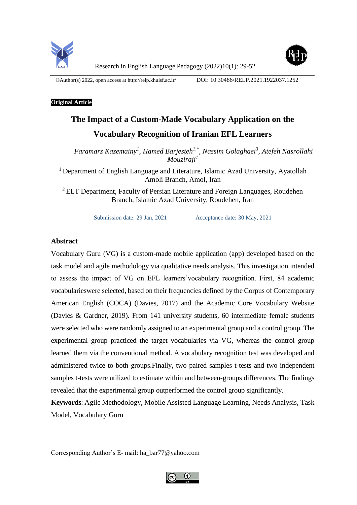

©Author(s) 2022, open access at<http://relp.khuisf.ac.ir/>DOI: 10.30486/RELP.2021.1922037.1252

# **Original Article**

# **The Impact of a Custom-Made Vocabulary Application on the Vocabulary Recognition of Iranian EFL Learners**

*Faramarz Kazemainy<sup>1</sup> , Hamed Barjesteh1,\*, Nassim Golaghaei<sup>3</sup> , Atefeh Nasrollahi Mouziraji<sup>1</sup>*

<sup>1</sup> Department of English Language and Literature, Islamic Azad University, Ayatollah Amoli Branch, Amol, Iran

<sup>2</sup> ELT Department, Faculty of Persian Literature and Foreign Languages, Roudehen Branch, Islamic Azad University, Roudehen, Iran

Submission date: 29 Jan, 2021 Acceptance date: 30 May, 2021

# **Abstract**

Vocabulary Guru (VG) is a custom-made mobile application (app) developed based on the task model and agile methodology via qualitative needs analysis. This investigation intended to assess the impact of VG on EFL learners'vocabulary recognition. First, 84 academic vocabularieswere selected, based on their frequencies defined by the Corpus of Contemporary American English (COCA) (Davies, 2017) and the Academic Core Vocabulary Website (Davies & Gardner, 2019). From 141 university students, 60 intermediate female students were selected who were randomly assigned to an experimental group and a control group. The experimental group practiced the target vocabularies via VG, whereas the control group learned them via the conventional method. A vocabulary recognition test was developed and administered twice to both groups.Finally, two paired samples t-tests and two independent samples t-tests were utilized to estimate within and between-groups differences. The findings revealed that the experimental group outperformed the control group significantly.

**Keywords**: Agile Methodology, Mobile Assisted Language Learning, Needs Analysis, Task Model, Vocabulary Guru

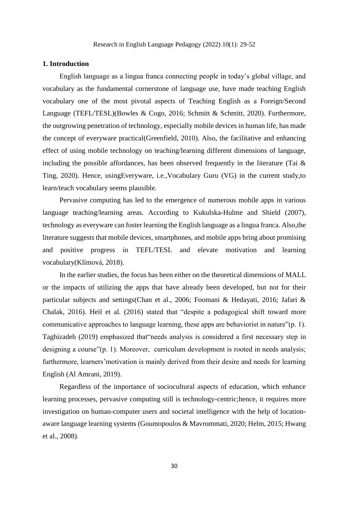#### **1. Introduction**

English language as a lingua franca connecting people in today's global village, and vocabulary as the fundamental cornerstone of language use, have made teaching English vocabulary one of the most pivotal aspects of Teaching English as a Foreign/Second Language (TEFL/TESL)(Bowles & Cogo, 2016; Schmitt & Schmitt, 2020). Furthermore, the outgrowing penetration of technology, especially mobile devices in human life, has made the concept of everyware practical(Greenfield, 2010). Also, the facilitative and enhancing effect of using mobile technology on teaching/learning different dimensions of language, including the possible affordances, has been observed frequently in the literature (Tai  $\&$ Ting, 2020). Hence, usingEveryware, i.e.,Vocabulary Guru (VG) in the current study,to learn/teach vocabulary seems plausible.

Pervasive computing has led to the emergence of numerous mobile apps in various language teaching/learning areas. According to Kukulska-Hulme and Shield (2007), technology as everyware can foster learning the English language as a lingua franca. Also,the literature suggests that mobile devices, smartphones, and mobile apps bring about promising and positive progress in TEFL/TESL and elevate motivation and learning vocabulary(Klímová, 2018).

In the earlier studies, the focus has been either on the theoretical dimensions of MALL or the impacts of utilizing the apps that have already been developed, but not for their particular subjects and settings(Chan et al., 2006; Foomani & Hedayati, 2016; Jafari & Chalak, 2016). Heil et al. (2016) stated that "despite a pedagogical shift toward more communicative approaches to language learning, these apps are behaviorist in nature"(p. 1). Taghizadeh (2019) emphasized that"needs analysis is considered a first necessary step in designing a course"(p. 1). Moreover, curriculum development is rooted in needs analysis; furthermore, learners'motivation is mainly derived from their desire and needs for learning English (Al Amrani, 2019).

Regardless of the importance of sociocultural aspects of education, which enhance learning processes, pervasive computing still is technology-centric;hence, it requires more investigation on human-computer users and societal intelligence with the help of locationaware language learning systems (Goumopoulos & Mavrommati, 2020; Helm, 2015; Hwang et al., 2008).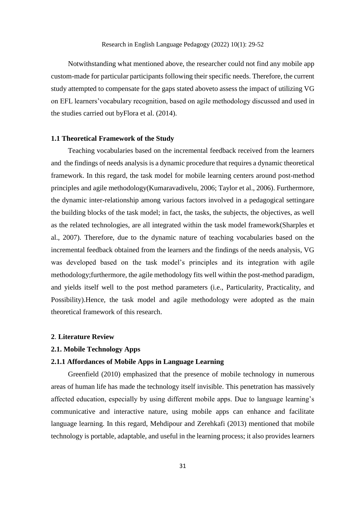Notwithstanding what mentioned above, the researcher could not find any mobile app custom-made for particular participants following their specific needs. Therefore, the current study attempted to compensate for the gaps stated aboveto assess the impact of utilizing VG on EFL learners'vocabulary recognition, based on agile methodology discussed and used in the studies carried out byFlora et al. (2014).

#### **1.1 Theoretical Framework of the Study**

Teaching vocabularies based on the incremental feedback received from the learners and the findings of needs analysis is a dynamic procedure that requires a dynamic theoretical framework. In this regard, the task model for mobile learning centers around post-method principles and agile methodology(Kumaravadivelu, 2006; Taylor et al., 2006). Furthermore, the dynamic inter-relationship among various factors involved in a pedagogical settingare the building blocks of the task model; in fact, the tasks, the subjects, the objectives, as well as the related technologies, are all integrated within the task model framework(Sharples et al., 2007). Therefore, due to the dynamic nature of teaching vocabularies based on the incremental feedback obtained from the learners and the findings of the needs analysis, VG was developed based on the task model's principles and its integration with agile methodology;furthermore, the agile methodology fits well within the post-method paradigm, and yields itself well to the post method parameters (i.e., Particularity, Practicality, and Possibility).Hence, the task model and agile methodology were adopted as the main theoretical framework of this research.

#### **2**. **Literature Review**

# **2.1. Mobile Technology Apps**

# **2.1.1 Affordances of Mobile Apps in Language Learning**

Greenfield (2010) emphasized that the presence of mobile technology in numerous areas of human life has made the technology itself invisible. This penetration has massively affected education, especially by using different mobile apps. Due to language learning's communicative and interactive nature, using mobile apps can enhance and facilitate language learning. In this regard, Mehdipour and Zerehkafi (2013) mentioned that mobile technology is portable, adaptable, and useful in the learning process; it also provides learners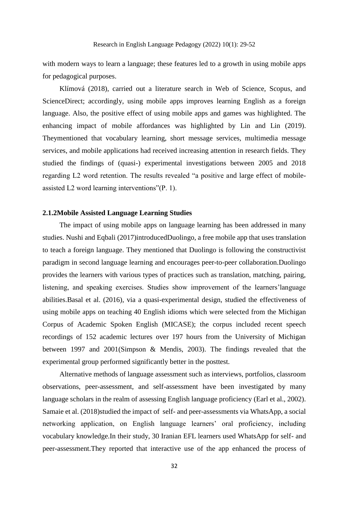with modern ways to learn a language; these features led to a growth in using mobile apps for pedagogical purposes.

Klímová (2018), carried out a literature search in Web of Science, Scopus, and ScienceDirect; accordingly, using mobile apps improves learning English as a foreign language. Also, the positive effect of using mobile apps and games was highlighted. The enhancing impact of mobile affordances was highlighted by Lin and Lin (2019). Theymentioned that vocabulary learning, short message services, multimedia message services, and mobile applications had received increasing attention in research fields. They studied the findings of (quasi-) experimental investigations between 2005 and 2018 regarding L2 word retention. The results revealed "a positive and large effect of mobileassisted L2 word learning interventions"(P. 1).

# **2.1.2Mobile Assisted Language Learning Studies**

The impact of using mobile apps on language learning has been addressed in many studies. Nushi and Eqbali (2017)introducedDuolingo, a free mobile app that uses translation to teach a foreign language. They mentioned that Duolingo is following the constructivist paradigm in second language learning and encourages peer-to-peer collaboration.Duolingo provides the learners with various types of practices such as translation, matching, pairing, listening, and speaking exercises. Studies show improvement of the learners'language abilities.Basal et al. (2016), via a quasi-experimental design, studied the effectiveness of using mobile apps on teaching 40 English idioms which were selected from the Michigan Corpus of Academic Spoken English (MICASE); the corpus included recent speech recordings of 152 academic lectures over 197 hours from the University of Michigan between 1997 and 2001(Simpson & Mendis, 2003). The findings revealed that the experimental group performed significantly better in the posttest.

Alternative methods of language assessment such as interviews, portfolios, classroom observations, peer-assessment, and self-assessment have been investigated by many language scholars in the realm of assessing English language proficiency (Earl et al., 2002). Samaie et al. (2018)studied the impact of self- and peer-assessments via WhatsApp, a social networking application, on English language learners' oral proficiency, including vocabulary knowledge.In their study, 30 Iranian EFL learners used WhatsApp for self- and peer-assessment.They reported that interactive use of the app enhanced the process of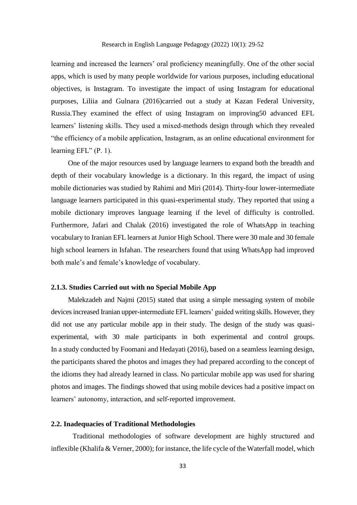learning and increased the learners' oral proficiency meaningfully. One of the other social apps, which is used by many people worldwide for various purposes, including educational objectives, is Instagram. To investigate the impact of using Instagram for educational purposes, Liliia and Gulnara (2016)carried out a study at Kazan Federal University, Russia.They examined the effect of using Instagram on improving50 advanced EFL learners' listening skills. They used a mixed-methods design through which they revealed "the efficiency of a mobile application, Instagram, as an online educational environment for learning EFL" (P. 1).

One of the major resources used by language learners to expand both the breadth and depth of their vocabulary knowledge is a dictionary. In this regard, the impact of using mobile dictionaries was studied by Rahimi and Miri (2014). Thirty-four lower-intermediate language learners participated in this quasi-experimental study. They reported that using a mobile dictionary improves language learning if the level of difficulty is controlled. Furthermore, Jafari and Chalak (2016) investigated the role of WhatsApp in teaching vocabulary to Iranian EFL learners at Junior High School. There were 30 male and 30 female high school learners in Isfahan. The researchers found that using WhatsApp had improved both male's and female's knowledge of vocabulary.

# **2.1.3. Studies Carried out with no Special Mobile App**

Malekzadeh and Najmi (2015) stated that using a simple messaging system of mobile devices increased Iranian upper-intermediate EFL learners' guided writing skills. However, they did not use any particular mobile app in their study. The design of the study was quasiexperimental, with 30 male participants in both experimental and control groups. In a study conducted by Foomani and Hedayati (2016), based on a seamless learning design, the participants shared the photos and images they had prepared according to the concept of the idioms they had already learned in class. No particular mobile app was used for sharing photos and images. The findings showed that using mobile devices had a positive impact on learners' autonomy, interaction, and self-reported improvement.

#### **2.2. Inadequacies of Traditional Methodologies**

Traditional methodologies of software development are highly structured and inflexible (Khalifa & Verner, 2000); for instance, the life cycle of the Waterfall model, which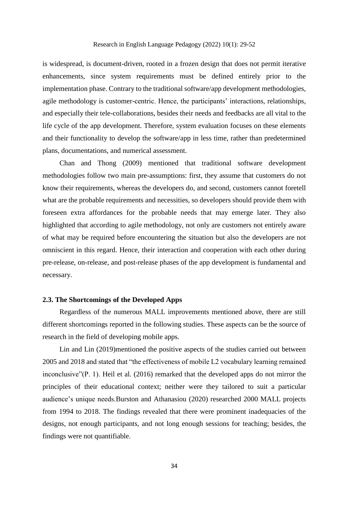is widespread, is document-driven, rooted in a frozen design that does not permit iterative enhancements, since system requirements must be defined entirely prior to the implementation phase. Contrary to the traditional software/app development methodologies, agile methodology is customer-centric. Hence, the participants' interactions, relationships, and especially their tele-collaborations, besides their needs and feedbacks are all vital to the life cycle of the app development. Therefore, system evaluation focuses on these elements and their functionality to develop the software/app in less time, rather than predetermined plans, documentations, and numerical assessment.

Chan and Thong (2009) mentioned that traditional software development methodologies follow two main pre-assumptions: first, they assume that customers do not know their requirements, whereas the developers do, and second, customers cannot foretell what are the probable requirements and necessities, so developers should provide them with foreseen extra affordances for the probable needs that may emerge later. They also highlighted that according to agile methodology, not only are customers not entirely aware of what may be required before encountering the situation but also the developers are not omniscient in this regard. Hence, their interaction and cooperation with each other during pre-release, on-release, and post-release phases of the app development is fundamental and necessary.

#### **2.3. The Shortcomings of the Developed Apps**

Regardless of the numerous MALL improvements mentioned above, there are still different shortcomings reported in the following studies. These aspects can be the source of research in the field of developing mobile apps.

Lin and Lin (2019)mentioned the positive aspects of the studies carried out between 2005 and 2018 and stated that "the effectiveness of mobile L2 vocabulary learning remained inconclusive"(P. 1). Heil et al. (2016) remarked that the developed apps do not mirror the principles of their educational context; neither were they tailored to suit a particular audience's unique needs.Burston and Athanasiou (2020) researched 2000 MALL projects from 1994 to 2018. The findings revealed that there were prominent inadequacies of the designs, not enough participants, and not long enough sessions for teaching; besides, the findings were not quantifiable.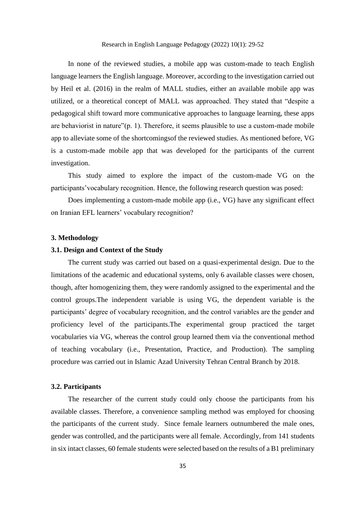In none of the reviewed studies, a mobile app was custom-made to teach English language learners the English language. Moreover, according to the investigation carried out by Heil et al. (2016) in the realm of MALL studies, either an available mobile app was utilized, or a theoretical concept of MALL was approached. They stated that "despite a pedagogical shift toward more communicative approaches to language learning, these apps are behaviorist in nature"(p. 1). Therefore, it seems plausible to use a custom-made mobile app to alleviate some of the shortcomingsof the reviewed studies. As mentioned before, VG is a custom-made mobile app that was developed for the participants of the current investigation.

This study aimed to explore the impact of the custom-made VG on the participants'vocabulary recognition. Hence, the following research question was posed:

Does implementing a custom-made mobile app (i.e., VG) have any significant effect on Iranian EFL learners' vocabulary recognition?

#### **3. Methodology**

#### **3.1. Design and Context of the Study**

The current study was carried out based on a quasi-experimental design. Due to the limitations of the academic and educational systems, only 6 available classes were chosen, though, after homogenizing them, they were randomly assigned to the experimental and the control groups.The independent variable is using VG, the dependent variable is the participants' degree of vocabulary recognition, and the control variables are the gender and proficiency level of the participants.The experimental group practiced the target vocabularies via VG, whereas the control group learned them via the conventional method of teaching vocabulary (i.e., Presentation, Practice, and Production). The sampling procedure was carried out in Islamic Azad University Tehran Central Branch by 2018.

#### **3.2. Participants**

The researcher of the current study could only choose the participants from his available classes. Therefore, a convenience sampling method was employed for choosing the participants of the current study. Since female learners outnumbered the male ones, gender was controlled, and the participants were all female. Accordingly, from 141 students in six intact classes, 60 female students were selected based on the results of a B1 preliminary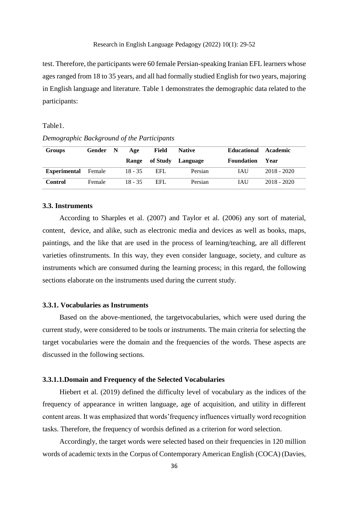test. Therefore, the participants were 60 female Persian-speaking Iranian EFL learners whose ages ranged from 18 to 35 years, and all had formally studied English for two years, majoring in English language and literature. Table 1 demonstrates the demographic data related to the participants:

# Table1.

*Demographic Background of the Participants*

| <b>Groups</b>       | Gender N | Age       | Field    | <b>Native</b> | Educational Academic |               |
|---------------------|----------|-----------|----------|---------------|----------------------|---------------|
|                     |          | Range     | of Study | Language      | <b>Foundation</b>    | Year          |
| <b>Experimental</b> | Female   | $18 - 35$ | EFL      | Persian       | <b>TAU</b>           | $2018 - 2020$ |
| <b>Control</b>      | Female   | $18 - 35$ | EFL.     | Persian       | <b>JAU</b>           | $2018 - 2020$ |

#### **3.3. Instruments**

According to Sharples et al. (2007) and Taylor et al. (2006) any sort of material, content, device, and alike, such as electronic media and devices as well as books, maps, paintings, and the like that are used in the process of learning/teaching, are all different varieties ofinstruments. In this way, they even consider language, society, and culture as instruments which are consumed during the learning process; in this regard, the following sections elaborate on the instruments used during the current study.

# **3.3.1. Vocabularies as Instruments**

Based on the above-mentioned, the targetvocabularies, which were used during the current study, were considered to be tools or instruments. The main criteria for selecting the target vocabularies were the domain and the frequencies of the words. These aspects are discussed in the following sections.

#### **3.3.1.1.Domain and Frequency of the Selected Vocabularies**

Hiebert et al. (2019) defined the difficulty level of vocabulary as the indices of the frequency of appearance in written language, age of acquisition, and utility in different content areas. It was emphasized that words'frequency influences virtually word recognition tasks. Therefore, the frequency of wordsis defined as a criterion for word selection.

Accordingly, the target words were selected based on their frequencies in 120 million words of academic texts in the Corpus of Contemporary American English (COCA) (Davies,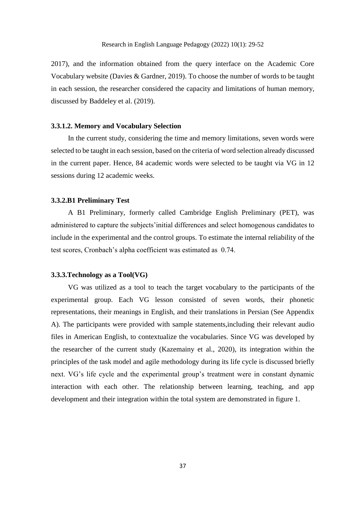2017), and the information obtained from the query interface on the Academic Core Vocabulary website (Davies & Gardner, 2019). To choose the number of words to be taught in each session, the researcher considered the capacity and limitations of human memory, discussed by Baddeley et al. (2019).

#### **3.3.1.2. Memory and Vocabulary Selection**

In the current study, considering the time and memory limitations, seven words were selected to be taught in each session, based on the criteria of word selection already discussed in the current paper. Hence, 84 academic words were selected to be taught via VG in 12 sessions during 12 academic weeks.

#### **3.3.2.B1 Preliminary Test**

A B1 Preliminary, formerly called Cambridge English Preliminary (PET), was administered to capture the subjects'initial differences and select homogenous candidates to include in the experimental and the control groups. To estimate the internal reliability of the test scores, Cronbach's alpha coefficient was estimated as 0.74.

# **3.3.3.Technology as a Tool(VG)**

VG was utilized as a tool to teach the target vocabulary to the participants of the experimental group. Each VG lesson consisted of seven words, their phonetic representations, their meanings in English, and their translations in Persian (See Appendix A). The participants were provided with sample statements,including their relevant audio files in American English, to contextualize the vocabularies. Since VG was developed by the researcher of the current study (Kazemainy et al., 2020), its integration within the principles of the task model and agile methodology during its life cycle is discussed briefly next. VG's life cycle and the experimental group's treatment were in constant dynamic interaction with each other. The relationship between learning, teaching, and app development and their integration within the total system are demonstrated in figure 1.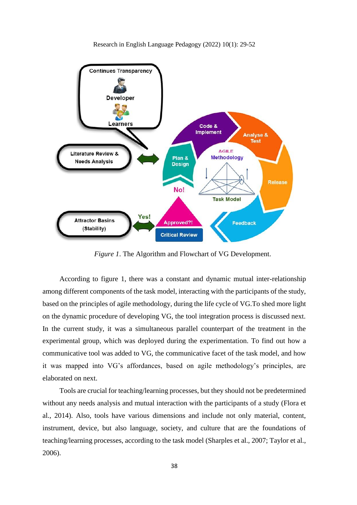

Plan &

**Design** 

No!

**Implement** 

**AGILE** 

**Methodology** 

**Task Model** 

Analyse & **Test** 

**Release** 

Research in English Language Pedagogy (2022) 10(1): 29-52

Yes! **Attractor Basins** Approved?! Feedback (Stability) **Critical Review** 

Literature Review &

**Needs Analysis** 

*Figure 1*. The Algorithm and Flowchart of VG Development.

According to figure 1, there was a constant and dynamic mutual inter-relationship among different components of the task model, interacting with the participants of the study, based on the principles of agile methodology, during the life cycle of VG.To shed more light on the dynamic procedure of developing VG, the tool integration process is discussed next. In the current study, it was a simultaneous parallel counterpart of the treatment in the experimental group, which was deployed during the experimentation. To find out how a communicative tool was added to VG, the communicative facet of the task model, and how it was mapped into VG's affordances, based on agile methodology's principles, are elaborated on next.

Tools are crucial for teaching/learning processes, but they should not be predetermined without any needs analysis and mutual interaction with the participants of a study (Flora et al., 2014). Also, tools have various dimensions and include not only material, content, instrument, device, but also language, society, and culture that are the foundations of teaching/learning processes, according to the task model (Sharples et al., 2007; Taylor et al., 2006).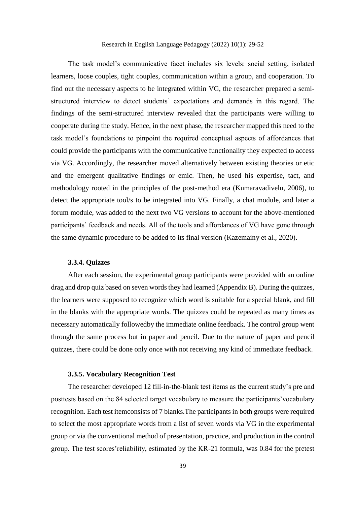The task model's communicative facet includes six levels: social setting, isolated learners, loose couples, tight couples, communication within a group, and cooperation. To find out the necessary aspects to be integrated within VG, the researcher prepared a semistructured interview to detect students' expectations and demands in this regard. The findings of the semi-structured interview revealed that the participants were willing to cooperate during the study. Hence, in the next phase, the researcher mapped this need to the task model's foundations to pinpoint the required conceptual aspects of affordances that could provide the participants with the communicative functionality they expected to access via VG. Accordingly, the researcher moved alternatively between existing theories or etic and the emergent qualitative findings or emic. Then, he used his expertise, tact, and methodology rooted in the principles of the post-method era (Kumaravadivelu, 2006), to detect the appropriate tool/s to be integrated into VG. Finally, a chat module, and later a forum module, was added to the next two VG versions to account for the above-mentioned participants' feedback and needs. All of the tools and affordances of VG have gone through the same dynamic procedure to be added to its final version (Kazemainy et al., 2020).

#### **3.3.4. Quizzes**

After each session, the experimental group participants were provided with an online drag and drop quiz based on seven words they had learned (Appendix B). During the quizzes, the learners were supposed to recognize which word is suitable for a special blank, and fill in the blanks with the appropriate words. The quizzes could be repeated as many times as necessary automatically followedby the immediate online feedback. The control group went through the same process but in paper and pencil. Due to the nature of paper and pencil quizzes, there could be done only once with not receiving any kind of immediate feedback.

#### **3.3.5. Vocabulary Recognition Test**

The researcher developed 12 fill-in-the-blank test items as the current study's pre and posttests based on the 84 selected target vocabulary to measure the participants'vocabulary recognition. Each test itemconsists of 7 blanks.The participants in both groups were required to select the most appropriate words from a list of seven words via VG in the experimental group or via the conventional method of presentation, practice, and production in the control group. The test scores'reliability, estimated by the KR-21 formula, was 0.84 for the pretest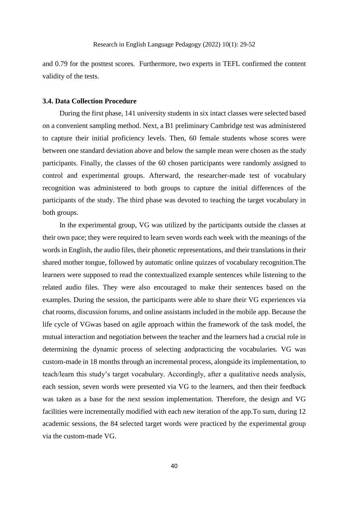and 0.79 for the posttest scores. Furthermore, two experts in TEFL confirmed the content validity of the tests.

#### **3.4. Data Collection Procedure**

During the first phase, 141 university students in six intact classes were selected based on a convenient sampling method. Next, a B1 preliminary Cambridge test was administered to capture their initial proficiency levels. Then, 60 female students whose scores were between one standard deviation above and below the sample mean were chosen as the study participants. Finally, the classes of the 60 chosen participants were randomly assigned to control and experimental groups. Afterward, the researcher-made test of vocabulary recognition was administered to both groups to capture the initial differences of the participants of the study. The third phase was devoted to teaching the target vocabulary in both groups.

In the experimental group, VG was utilized by the participants outside the classes at their own pace; they were required to learn seven words each week with the meanings of the words in English, the audio files, their phonetic representations, and their translations in their shared mother tongue, followed by automatic online quizzes of vocabulary recognition.The learners were supposed to read the contextualized example sentences while listening to the related audio files. They were also encouraged to make their sentences based on the examples. During the session, the participants were able to share their VG experiences via chat rooms, discussion forums, and online assistants included in the mobile app. Because the life cycle of VGwas based on agile approach within the framework of the task model, the mutual interaction and negotiation between the teacher and the learners had a crucial role in determining the dynamic process of selecting andpracticing the vocabularies. VG was custom-made in 18 months through an incremental process, alongside its implementation, to teach/learn this study's target vocabulary. Accordingly, after a qualitative needs analysis, each session, seven words were presented via VG to the learners, and then their feedback was taken as a base for the next session implementation. Therefore, the design and VG facilities were incrementally modified with each new iteration of the app.To sum, during 12 academic sessions, the 84 selected target words were practiced by the experimental group via the custom-made VG.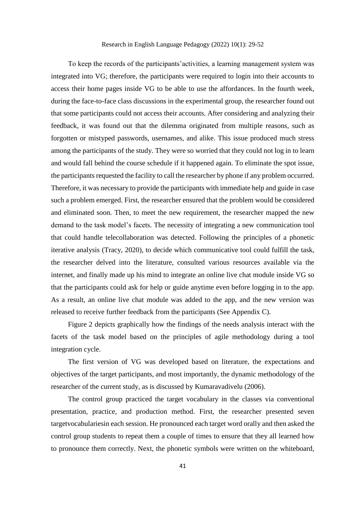To keep the records of the participants'activities, a learning management system was integrated into VG; therefore, the participants were required to login into their accounts to access their home pages inside VG to be able to use the affordances. In the fourth week, during the face-to-face class discussions in the experimental group, the researcher found out that some participants could not access their accounts. After considering and analyzing their feedback, it was found out that the dilemma originated from multiple reasons, such as forgotten or mistyped passwords, usernames, and alike. This issue produced much stress among the participants of the study. They were so worried that they could not log in to learn and would fall behind the course schedule if it happened again. To eliminate the spot issue, the participants requested the facility to call the researcher by phone if any problem occurred. Therefore, it was necessary to provide the participants with immediate help and guide in case such a problem emerged. First, the researcher ensured that the problem would be considered and eliminated soon. Then, to meet the new requirement, the researcher mapped the new demand to the task model's facets. The necessity of integrating a new communication tool that could handle telecollaboration was detected. Following the principles of a phonetic iterative analysis (Tracy, 2020), to decide which communicative tool could fulfill the task, the researcher delved into the literature, consulted various resources available via the internet, and finally made up his mind to integrate an online live chat module inside VG so that the participants could ask for help or guide anytime even before logging in to the app. As a result, an online live chat module was added to the app, and the new version was released to receive further feedback from the participants (See Appendix C).

Figure 2 depicts graphically how the findings of the needs analysis interact with the facets of the task model based on the principles of agile methodology during a tool integration cycle.

The first version of VG was developed based on literature, the expectations and objectives of the target participants, and most importantly, the dynamic methodology of the researcher of the current study, as is discussed by Kumaravadivelu (2006).

The control group practiced the target vocabulary in the classes via conventional presentation, practice, and production method. First, the researcher presented seven targetvocabulariesin each session. He pronounced each target word orally and then asked the control group students to repeat them a couple of times to ensure that they all learned how to pronounce them correctly. Next, the phonetic symbols were written on the whiteboard,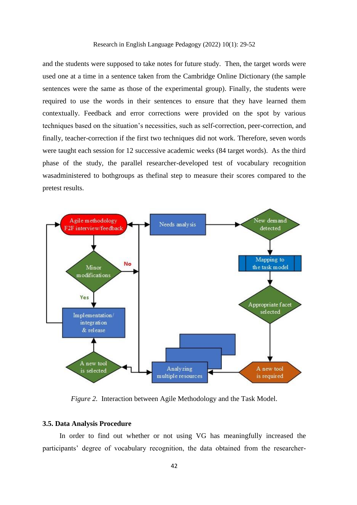and the students were supposed to take notes for future study. Then, the target words were used one at a time in a sentence taken from the Cambridge Online Dictionary (the sample sentences were the same as those of the experimental group). Finally, the students were required to use the words in their sentences to ensure that they have learned them contextually. Feedback and error corrections were provided on the spot by various techniques based on the situation's necessities, such as self-correction, peer-correction, and finally, teacher-correction if the first two techniques did not work. Therefore, seven words were taught each session for 12 successive academic weeks (84 target words). As the third phase of the study, the parallel researcher-developed test of vocabulary recognition wasadministered to bothgroups as thefinal step to measure their scores compared to the pretest results.



*Figure 2.* Interaction between Agile Methodology and the Task Model.

# **3.5. Data Analysis Procedure**

In order to find out whether or not using VG has meaningfully increased the participants' degree of vocabulary recognition, the data obtained from the researcher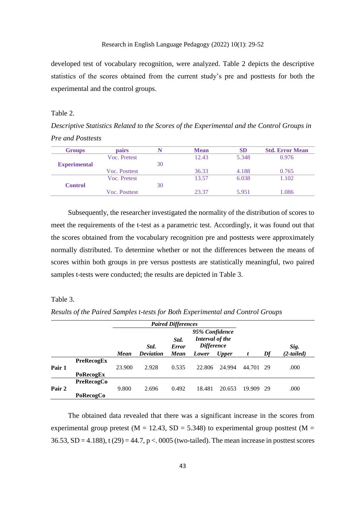developed test of vocabulary recognition, were analyzed. Table 2 depicts the descriptive statistics of the scores obtained from the current study's pre and posttests for both the experimental and the control groups.

#### Table 2.

*Descriptive Statistics Related to the Scores of the Experimental and the Control Groups in Pre and Posttests*

| <b>Groups</b>       | pairs         |    | <b>Mean</b> | SD    | <b>Std. Error Mean</b> |
|---------------------|---------------|----|-------------|-------|------------------------|
|                     | Voc. Pretest  |    | 12.43       | 5.348 | 0.976                  |
| <b>Experimental</b> |               | 30 |             |       |                        |
|                     | Voc. Posttest |    | 36.33       | 4.188 | 0.765                  |
|                     | Voc. Pretest  |    | 13.57       | 6.038 | 1.102                  |
| <b>Control</b>      |               | 30 |             |       |                        |
|                     | Voc. Posttest |    | 23.37       | 5.951 | .086                   |

Subsequently, the researcher investigated the normality of the distribution of scores to meet the requirements of the t-test as a parametric test. Accordingly, it was found out that the scores obtained from the vocabulary recognition pre and posttests were approximately normally distributed. To determine whether or not the differences between the means of scores within both groups in pre versus posttests are statistically meaningful, two paired samples t-tests were conducted; the results are depicted in Table 3.

# Table 3.

*Results of the Paired Samples t-tests for Both Experimental and Control Groups*

|        |                   |        |                  | <b>Paired Differences</b>                                                      |        |              |        |      |              |
|--------|-------------------|--------|------------------|--------------------------------------------------------------------------------|--------|--------------|--------|------|--------------|
|        |                   |        | Std.             | 95% Confidence<br>Interval of the<br>Std.<br><b>Difference</b><br><b>Error</b> |        |              |        | Sig. |              |
|        |                   | Mean   | <b>Deviation</b> | <b>Mean</b>                                                                    | Lower  | <b>Upper</b> |        | Df   | $(2-tailed)$ |
|        | <b>PreRecogEx</b> |        |                  |                                                                                |        |              |        |      |              |
| Pair 1 |                   | 23.900 | 2.928            | 0.535                                                                          | 22.806 | 24.994       | 44.701 | -29  | .000         |
|        | PoRecogEx         |        |                  |                                                                                |        |              |        |      |              |
|        | <b>PreRecogCo</b> |        |                  |                                                                                |        |              |        |      |              |
| Pair 2 |                   | 9.800  | 2.696            | 0.492                                                                          | 18.481 | 20.653       | 19.909 | -29  | .000         |
|        | PoRecogCo         |        |                  |                                                                                |        |              |        |      |              |

The obtained data revealed that there was a significant increase in the scores from experimental group pretest ( $M = 12.43$ ,  $SD = 5.348$ ) to experimental group posttest ( $M =$  $36.53$ ,  $SD = 4.188$ ), t (29) = 44.7, p < 0.005 (two-tailed). The mean increase in posttest scores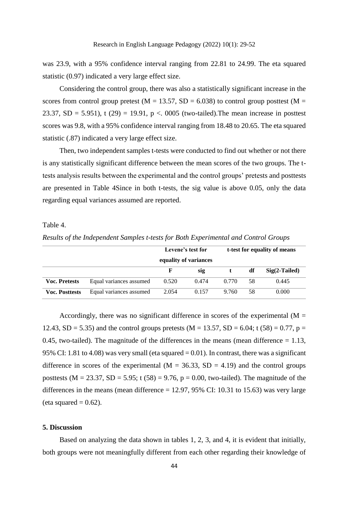was 23.9, with a 95% confidence interval ranging from 22.81 to 24.99. The eta squared statistic (0.97) indicated a very large effect size.

Considering the control group, there was also a statistically significant increase in the scores from control group pretest ( $M = 13.57$ ,  $SD = 6.038$ ) to control group posttest ( $M =$ 23.37, SD = 5.951), t (29) = 19.91, p < 0.005 (two-tailed). The mean increase in posttest scores was 9.8, with a 95% confidence interval ranging from 18.48 to 20.65. The eta squared statistic (.87) indicated a very large effect size.

Then, two independent samples t-tests were conducted to find out whether or not there is any statistically significant difference between the mean scores of the two groups. The ttests analysis results between the experimental and the control groups' pretests and posttests are presented in Table 4Since in both t-tests, the sig value is above 0.05, only the data regarding equal variances assumed are reported.

Table 4.

|                       |                         | Levene's test for | t-test for equality of means |       |    |                 |
|-----------------------|-------------------------|-------------------|------------------------------|-------|----|-----------------|
|                       |                         | F                 | equality of variances<br>sig |       | df | $Sig(2-Tailed)$ |
| <b>Voc. Pretests</b>  | Equal variances assumed | 0.520             | 0.474                        | 0.770 | 58 | 0.445           |
| <b>Voc. Posttests</b> | Equal variances assumed | 2.054             | 0.157                        | 9.760 | 58 | 0.000           |

*Results of the Independent Samples t-tests for Both Experimental and Control Groups*

Accordingly, there was no significant difference in scores of the experimental  $(M =$ 12.43, SD = 5.35) and the control groups pretests (M = 13.57, SD = 6.04; t (58) = 0.77, p = 0.45, two-tailed). The magnitude of the differences in the means (mean difference  $= 1.13$ , 95% CI: 1.81 to 4.08) was very small (eta squared = 0.01). In contrast, there was a significant difference in scores of the experimental  $(M = 36.33, SD = 4.19)$  and the control groups posttests ( $M = 23.37$ ,  $SD = 5.95$ ; t (58) = 9.76, p = 0.00, two-tailed). The magnitude of the differences in the means (mean difference  $= 12.97, 95\%$  CI: 10.31 to 15.63) was very large (eta squared  $= 0.62$ ).

# **5. Discussion**

Based on analyzing the data shown in tables 1, 2, 3, and 4, it is evident that initially, both groups were not meaningfully different from each other regarding their knowledge of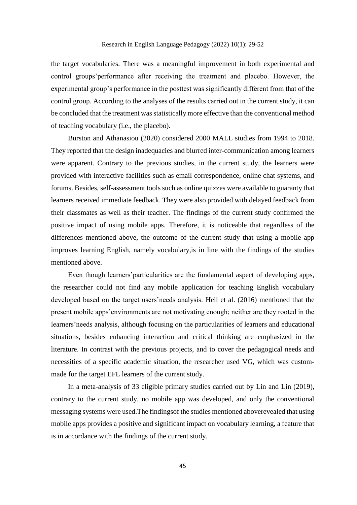the target vocabularies. There was a meaningful improvement in both experimental and control groups'performance after receiving the treatment and placebo. However, the experimental group's performance in the posttest was significantly different from that of the control group. According to the analyses of the results carried out in the current study, it can be concluded that the treatment was statistically more effective than the conventional method of teaching vocabulary (i.e., the placebo).

Burston and Athanasiou (2020) considered 2000 MALL studies from 1994 to 2018. They reported that the design inadequacies and blurred inter-communication among learners were apparent. Contrary to the previous studies, in the current study, the learners were provided with interactive facilities such as email correspondence, online chat systems, and forums. Besides, self-assessment tools such as online quizzes were available to guaranty that learners received immediate feedback. They were also provided with delayed feedback from their classmates as well as their teacher. The findings of the current study confirmed the positive impact of using mobile apps. Therefore, it is noticeable that regardless of the differences mentioned above, the outcome of the current study that using a mobile app improves learning English, namely vocabulary,is in line with the findings of the studies mentioned above.

Even though learners'particularities are the fundamental aspect of developing apps, the researcher could not find any mobile application for teaching English vocabulary developed based on the target users'needs analysis. Heil et al. (2016) mentioned that the present mobile apps'environments are not motivating enough; neither are they rooted in the learners'needs analysis, although focusing on the particularities of learners and educational situations, besides enhancing interaction and critical thinking are emphasized in the literature. In contrast with the previous projects, and to cover the pedagogical needs and necessities of a specific academic situation, the researcher used VG, which was custommade for the target EFL learners of the current study.

In a meta-analysis of 33 eligible primary studies carried out by Lin and Lin (2019), contrary to the current study, no mobile app was developed, and only the conventional messaging systems were used.The findingsof the studies mentioned aboverevealed that using mobile apps provides a positive and significant impact on vocabulary learning, a feature that is in accordance with the findings of the current study.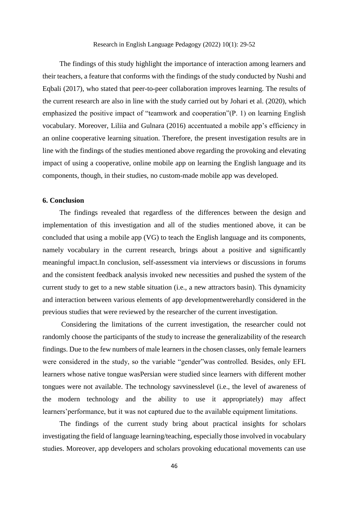The findings of this study highlight the importance of interaction among learners and their teachers, a feature that conforms with the findings of the study conducted by Nushi and Eqbali (2017), who stated that peer-to-peer collaboration improves learning. The results of the current research are also in line with the study carried out by Johari et al. (2020), which emphasized the positive impact of "teamwork and cooperation"(P. 1) on learning English vocabulary. Moreover, Liliia and Gulnara (2016) accentuated a mobile app's efficiency in an online cooperative learning situation. Therefore, the present investigation results are in line with the findings of the studies mentioned above regarding the provoking and elevating impact of using a cooperative, online mobile app on learning the English language and its components, though, in their studies, no custom-made mobile app was developed.

# **6. Conclusion**

The findings revealed that regardless of the differences between the design and implementation of this investigation and all of the studies mentioned above, it can be concluded that using a mobile app (VG) to teach the English language and its components, namely vocabulary in the current research, brings about a positive and significantly meaningful impact.In conclusion, self-assessment via interviews or discussions in forums and the consistent feedback analysis invoked new necessities and pushed the system of the current study to get to a new stable situation (i.e., a new attractors basin). This dynamicity and interaction between various elements of app developmentwerehardly considered in the previous studies that were reviewed by the researcher of the current investigation.

Considering the limitations of the current investigation, the researcher could not randomly choose the participants of the study to increase the generalizability of the research findings. Due to the few numbers of male learners in the chosen classes, only female learners were considered in the study, so the variable "gender"was controlled. Besides, only EFL learners whose native tongue wasPersian were studied since learners with different mother tongues were not available. The technology savvinesslevel (i.e., the level of awareness of the modern technology and the ability to use it appropriately) may affect learners'performance, but it was not captured due to the available equipment limitations.

The findings of the current study bring about practical insights for scholars investigating the field of language learning/teaching, especially those involved in vocabulary studies. Moreover, app developers and scholars provoking educational movements can use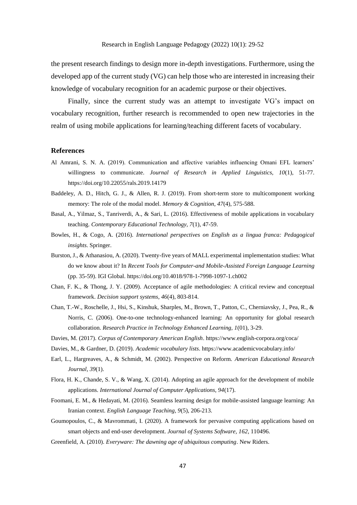the present research findings to design more in-depth investigations. Furthermore, using the developed app of the current study (VG) can help those who are interested in increasing their knowledge of vocabulary recognition for an academic purpose or their objectives.

Finally, since the current study was an attempt to investigate VG's impact on vocabulary recognition, further research is recommended to open new trajectories in the realm of using mobile applications for learning/teaching different facets of vocabulary.

#### **References**

- Al Amrani, S. N. A. (2019). Communication and affective variables influencing Omani EFL learners' willingness to communicate. *Journal of Research in Applied Linguistics, 10*(1), 51-77. https://doi.org/10.22055/rals.2019.14179
- Baddeley, A. D., Hitch, G. J., & Allen, R. J. (2019). From short-term store to multicomponent working memory: The role of the modal model. *Memory & Cognition, 47*(4), 575-588.
- Basal, A., Yilmaz, S., Tanriverdi, A., & Sari, L. (2016). Effectiveness of mobile applications in vocabulary teaching. *Contemporary Educational Technology, 7*(1), 47-59.
- Bowles, H., & Cogo, A. (2016). *International perspectives on English as a lingua franca: Pedagogical insights*. Springer.
- Burston, J., & Athanasiou, A. (2020). Twenty-five years of MALL experimental implementation studies: What do we know about it? In *Recent Tools for Computer-and Mobile-Assisted Foreign Language Learning* (pp. 35-59). IGI Global. https://doi.org/10.4018/978-1-7998-1097-1.ch002
- Chan, F. K., & Thong, J. Y. (2009). Acceptance of agile methodologies: A critical review and conceptual framework. *Decision support systems, 46*(4), 803-814.
- Chan, T.-W., Roschelle, J., Hsi, S., Kinshuk, Sharples, M., Brown, T., Patton, C., Cherniavsky, J., Pea, R., & Norris, C. (2006). One-to-one technology-enhanced learning: An opportunity for global research collaboration. *Research Practice in Technology Enhanced Learning, 1*(01), 3-29.
- Davies, M. (2017). *Corpus of Contemporary American English*. https://www.english-corpora.org/coca/
- Davies, M., & Gardner, D. (2019). *Academic vocabulary lists*. https://www.academicvocabulary.info/
- Earl, L., Hargreaves, A., & Schmidt, M. (2002). Perspective on Reform. *American Educational Research Journal, 39*(1).
- Flora, H. K., Chande, S. V., & Wang, X. (2014). Adopting an agile approach for the development of mobile applications. *International Journal of Computer Applications, 94*(17).
- Foomani, E. M., & Hedayati, M. (2016). Seamless learning design for mobile-assisted language learning: An Iranian context. *English Language Teaching, 9*(5), 206-213.
- Goumopoulos, C., & Mavrommati, I. (2020). A framework for pervasive computing applications based on smart objects and end-user development. *Journal of Systems Software, 162*, 110496.
- Greenfield, A. (2010). *Everyware: The dawning age of ubiquitous computing*. New Riders.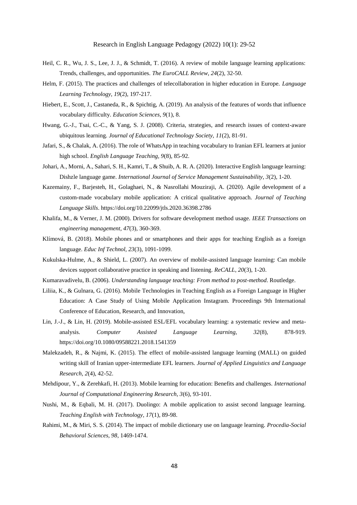- Heil, C. R., Wu, J. S., Lee, J. J., & Schmidt, T. (2016). A review of mobile language learning applications: Trends, challenges, and opportunities. *The EuroCALL Review, 24*(2), 32-50.
- Helm, F. (2015). The practices and challenges of telecollaboration in higher education in Europe. *Language Learning Technology, 19*(2), 197-217.
- Hiebert, E., Scott, J., Castaneda, R., & Spichtig, A. (2019). An analysis of the features of words that influence vocabulary difficulty. *Education Sciences, 9*(1), 8.
- Hwang, G.-J., Tsai, C.-C., & Yang, S. J. (2008). Criteria, strategies, and research issues of context-aware ubiquitous learning. *Journal of Educational Technology Society, 11*(2), 81-91.
- Jafari, S., & Chalak, A. (2016). The role of WhatsApp in teaching vocabulary to Iranian EFL learners at junior high school. *English Language Teaching, 9*(8), 85-92.
- Johari, A., Morni, A., Sahari, S. H., Kamri, T., & Shuib, A. R. A. (2020). Interactive English language learning: Dishzle language game. *International Journal of Service Management Sustainability, 3*(2), 1-20.
- Kazemainy, F., Barjesteh, H., Golaghaei, N., & Nasrollahi Mouziraji, A. (2020). Agile development of a custom-made vocabulary mobile application: A critical qualitative approach. *Journal of Teaching Language Skills*. https://doi.org/10.22099/jtls.2020.36398.2786
- Khalifa, M., & Verner, J. M. (2000). Drivers for software development method usage. *IEEE Transactions on engineering management, 47*(3), 360-369.
- Klímová, B. (2018). Mobile phones and or smartphones and their apps for teaching English as a foreign language. *Educ Inf Technol, 23*(3), 1091-1099.
- Kukulska-Hulme, A., & Shield, L. (2007). An overview of mobile-assisted language learning: Can mobile devices support collaborative practice in speaking and listening. *ReCALL, 20*(3), 1-20.
- Kumaravadivelu, B. (2006). *Understanding language teaching: From method to post-method*. Routledge.
- Liliia, K., & Gulnara, G. (2016). Mobile Technologies in Teaching English as a Foreign Language in Higher Education: A Case Study of Using Mobile Application Instagram. Proceedings 9th International Conference of Education, Research, and Innovation,
- Lin, J.-J., & Lin, H. (2019). Mobile-assisted ESL/EFL vocabulary learning: a systematic review and metaanalysis. *Computer Assisted Language Learning, 32*(8), 878-919. https://doi.org/10.1080/09588221.2018.1541359
- Malekzadeh, R., & Najmi, K. (2015). The effect of mobile-assisted language learning (MALL) on guided writing skill of Iranian upper-intermediate EFL learners. *Journal of Applied Linguistics and Language Research, 2*(4), 42-52.
- Mehdipour, Y., & Zerehkafi, H. (2013). Mobile learning for education: Benefits and challenges. *International Journal of Computational Engineering Research, 3*(6), 93-101.
- Nushi, M., & Eqbali, M. H. (2017). Duolingo: A mobile application to assist second language learning. *Teaching English with Technology, 17*(1), 89-98.
- Rahimi, M., & Miri, S. S. (2014). The impact of mobile dictionary use on language learning. *Procedia-Social Behavioral Sciences, 98*, 1469-1474.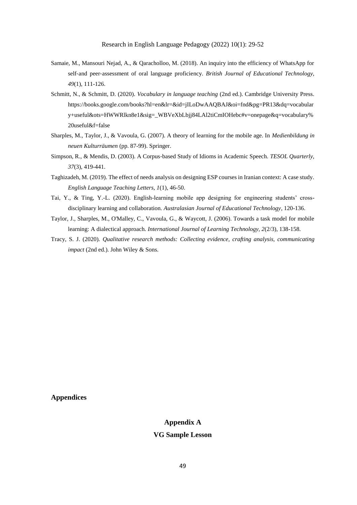- Samaie, M., Mansouri Nejad, A., & Qaracholloo, M. (2018). An inquiry into the efficiency of WhatsApp for self‐and peer‐assessment of oral language proficiency. *British Journal of Educational Technology, 49*(1), 111-126.
- Schmitt, N., & Schmitt, D. (2020). *Vocabulary in language teaching* (2nd ed.). Cambridge University Press. https://books.google.com/books?hl=en&lr=&id=jILoDwAAQBAJ&oi=fnd&pg=PR13&dq=vocabular y+useful&ots=HWWRlkn8e1&sig=\_WBVeXbLbjj84LAl2tiCmIOHebc#v=onepage&q=vocabulary% 20useful&f=false
- Sharples, M., Taylor, J., & Vavoula, G. (2007). A theory of learning for the mobile age. In *Medienbildung in neuen Kulturräumen* (pp. 87-99). Springer.
- Simpson, R., & Mendis, D. (2003). A Corpus‐based Study of Idioms in Academic Speech. *TESOL Quarterly, 37*(3), 419-441.
- Taghizadeh, M. (2019). The effect of needs analysis on designing ESP courses in Iranian context: A case study. *English Language Teaching Letters, 1*(1), 46-50.
- Tai, Y., & Ting, Y.-L. (2020). English-learning mobile app designing for engineering students' crossdisciplinary learning and collaboration. *Australasian Journal of Educational Technology*, 120-136.
- Taylor, J., Sharples, M., O'Malley, C., Vavoula, G., & Waycott, J. (2006). Towards a task model for mobile learning: A dialectical approach. *International Journal of Learning Technology, 2*(2/3), 138-158.
- Tracy, S. J. (2020). *Qualitative research methods: Collecting evidence, crafting analysis, communicating impact* (2nd ed.). John Wiley & Sons.

**Appendices**

# **Appendix A**

## **VG Sample Lesson**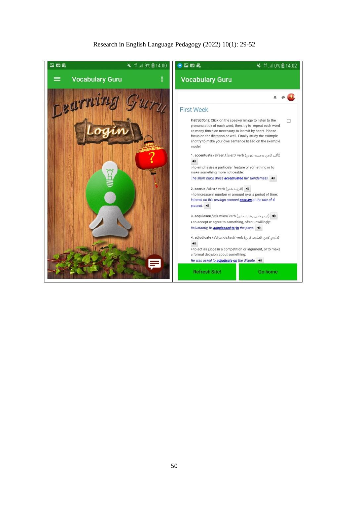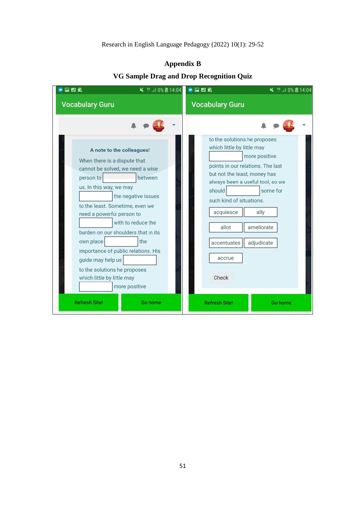| O Bampic Drug and Drop Keepgingon Quiz                                                                                                                                                                                                                                                                                                                                                                                                                              |                                                                                                                                                                                                                                                                                                                                           |  |  |  |  |
|---------------------------------------------------------------------------------------------------------------------------------------------------------------------------------------------------------------------------------------------------------------------------------------------------------------------------------------------------------------------------------------------------------------------------------------------------------------------|-------------------------------------------------------------------------------------------------------------------------------------------------------------------------------------------------------------------------------------------------------------------------------------------------------------------------------------------|--|--|--|--|
| ■ 14:04<br>● 国 题 男                                                                                                                                                                                                                                                                                                                                                                                                                                                  | $\bullet$ m $n$<br>■ 14:04                                                                                                                                                                                                                                                                                                                |  |  |  |  |
| <b>Vocabulary Guru</b>                                                                                                                                                                                                                                                                                                                                                                                                                                              | <b>Vocabulary Guru</b>                                                                                                                                                                                                                                                                                                                    |  |  |  |  |
|                                                                                                                                                                                                                                                                                                                                                                                                                                                                     |                                                                                                                                                                                                                                                                                                                                           |  |  |  |  |
| A note to the colleagues!<br>When there is a dispute that<br>cannot be solved, we need a wise<br>person to<br>between<br>us. In this way, we may<br>the negative issues<br>to the least. Sometime, even we<br>need a powerful person to<br>with to reduce the<br>burden on our shoulders that in its<br>own place<br>the<br>importance of public relations. His<br>guide may help us<br>to the solutions he proposes<br>which little by little may<br>more positive | to the solutions he proposes<br>which little by little may<br>more positive<br>points in our relations. The last<br>but not the least, money has<br>always been a useful tool, so we<br>should<br>some for<br>such kind of situations.<br>acquiesce<br>ally<br>ameliorate<br>allot<br>adjudicate<br>accentuates<br>accrue<br><b>Check</b> |  |  |  |  |
| <b>Refresh Site!</b><br>Go home                                                                                                                                                                                                                                                                                                                                                                                                                                     | <b>Refresh Site!</b><br>Go home                                                                                                                                                                                                                                                                                                           |  |  |  |  |

# **Appendix B**

# **VG Sample Drag and Drop Recognition Quiz**